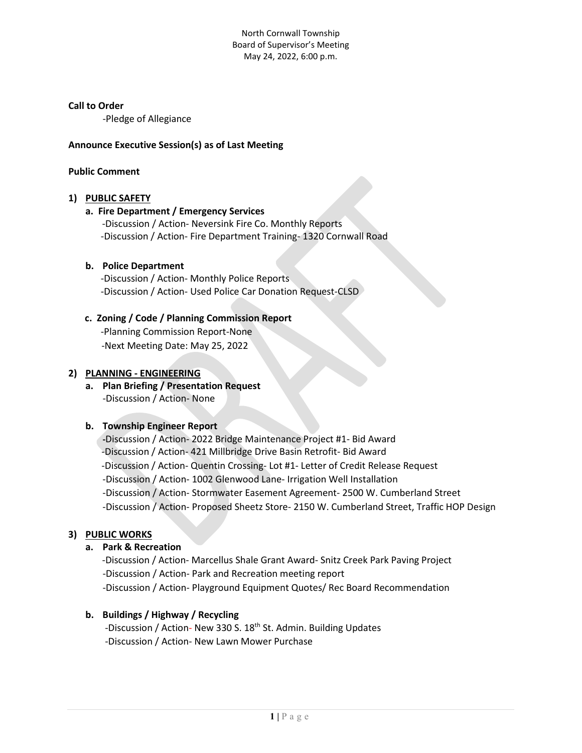North Cornwall Township Board of Supervisor's Meeting May 24, 2022, 6:00 p.m.

#### **Call to Order**

-Pledge of Allegiance

#### **Announce Executive Session(s) as of Last Meeting**

## **Public Comment**

#### **1) PUBLIC SAFETY**

#### **a. Fire Department / Emergency Services**

-Discussion / Action- Neversink Fire Co. Monthly Reports -Discussion / Action- Fire Department Training- 1320 Cornwall Road

#### **b. Police Department**

-Discussion / Action- Monthly Police Reports -Discussion / Action- Used Police Car Donation Request-CLSD

## **c. Zoning / Code / Planning Commission Report**

-Planning Commission Report-None -Next Meeting Date: May 25, 2022

#### **2) PLANNING - ENGINEERING**

# **a. Plan Briefing / Presentation Request**  -Discussion / Action- None

#### **b. Township Engineer Report**

**-**Discussion / Action- 2022 Bridge Maintenance Project #1- Bid Award -Discussion / Action- 421 Millbridge Drive Basin Retrofit- Bid Award -Discussion / Action- Quentin Crossing- Lot #1- Letter of Credit Release Request -Discussion / Action- 1002 Glenwood Lane- Irrigation Well Installation -Discussion / Action- Stormwater Easement Agreement- 2500 W. Cumberland Street -Discussion / Action- Proposed Sheetz Store- 2150 W. Cumberland Street, Traffic HOP Design

## **3) PUBLIC WORKS**

## **a. Park & Recreation**

 -Discussion / Action- Marcellus Shale Grant Award- Snitz Creek Park Paving Project -Discussion / Action- Park and Recreation meeting report -Discussion / Action- Playground Equipment Quotes/ Rec Board Recommendation

## **b. Buildings / Highway / Recycling**

-Discussion / Action- New 330 S. 18<sup>th</sup> St. Admin. Building Updates -Discussion / Action- New Lawn Mower Purchase